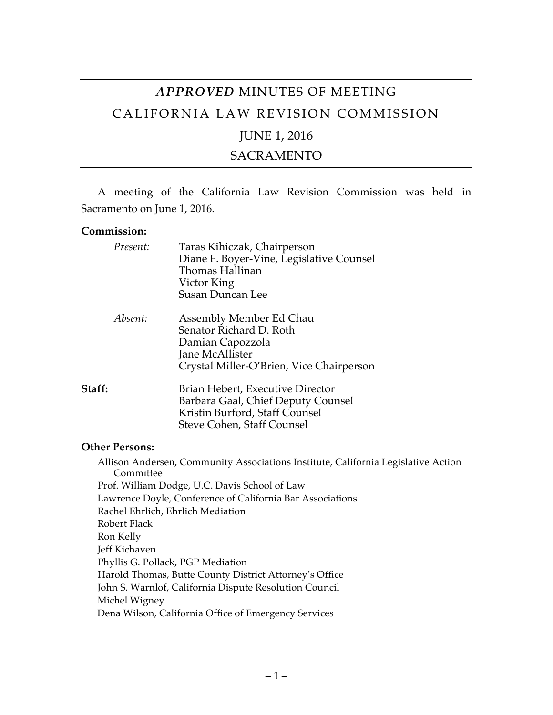# *APPROVED* MINUTES OF MEETING CALIFORNIA LAW REVISION COMMISSION

# JUNE 1, 2016

# SACRAMENTO

A meeting of the California Law Revision Commission was held in Sacramento on June 1, 2016.

#### **Commission:**

| Present: | Taras Kihiczak, Chairperson<br>Diane F. Boyer-Vine, Legislative Counsel<br>Thomas Hallinan<br>Victor King<br><b>Susan Duncan Lee</b>   |
|----------|----------------------------------------------------------------------------------------------------------------------------------------|
| Absent:  | Assembly Member Ed Chau<br>Senator Richard D. Roth<br>Damian Capozzola<br>Jane McAllister<br>Crystal Miller-O'Brien, Vice Chairperson  |
| Staff:   | Brian Hebert, Executive Director<br>Barbara Gaal, Chief Deputy Counsel<br>Kristin Burford, Staff Counsel<br>Steve Cohen, Staff Counsel |

### **Other Persons:**

Allison Andersen, Community Associations Institute, California Legislative Action Committee Prof. William Dodge, U.C. Davis School of Law Lawrence Doyle, Conference of California Bar Associations Rachel Ehrlich, Ehrlich Mediation Robert Flack Ron Kelly Jeff Kichaven Phyllis G. Pollack, PGP Mediation Harold Thomas, Butte County District Attorney's Office John S. Warnlof, California Dispute Resolution Council Michel Wigney Dena Wilson, California Office of Emergency Services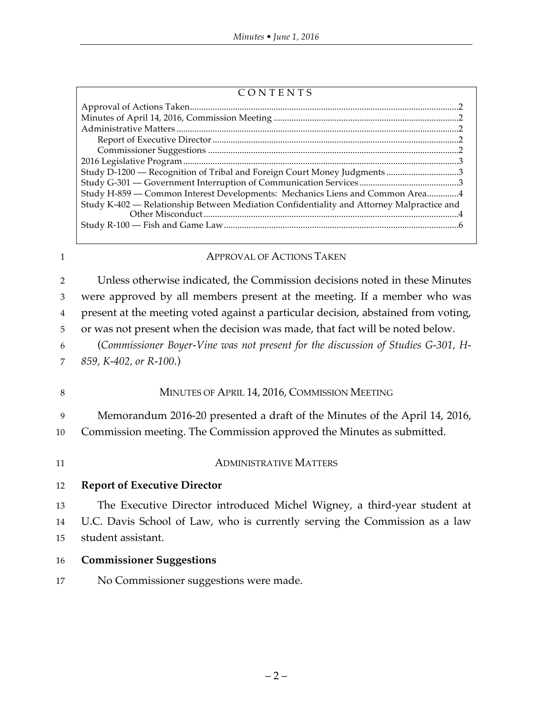| CONTENTS |
|----------|
|----------|

| Study D-1200 – Recognition of Tribal and Foreign Court Money Judgments 3                  |  |
|-------------------------------------------------------------------------------------------|--|
|                                                                                           |  |
| Study H-859 - Common Interest Developments: Mechanics Liens and Common Area4              |  |
| Study K-402 - Relationship Between Mediation Confidentiality and Attorney Malpractice and |  |
|                                                                                           |  |
|                                                                                           |  |
|                                                                                           |  |

#### 1 **APPROVAL OF ACTIONS TAKEN**

 Unless otherwise indicated, the Commission decisions noted in these Minutes were approved by all members present at the meeting. If a member who was present at the meeting voted against a particular decision, abstained from voting, or was not present when the decision was made, that fact will be noted below. (*Commissioner Boyer-Vine was not present for the discussion of Studies G-301, H-*

7 *859, K-402, or R-100.*)

# 8 MINUTES OF APRIL 14, 2016, COMMISSION MEETING

9 Memorandum 2016-20 presented a draft of the Minutes of the April 14, 2016,

10 Commission meeting. The Commission approved the Minutes as submitted.

# 11 ADMINISTRATIVE MATTERS

### 12 **Report of Executive Director**

13 The Executive Director introduced Michel Wigney, a third-year student at 14 U.C. Davis School of Law, who is currently serving the Commission as a law

- 15 student assistant.
- 16 **Commissioner Suggestions**
- 17 No Commissioner suggestions were made.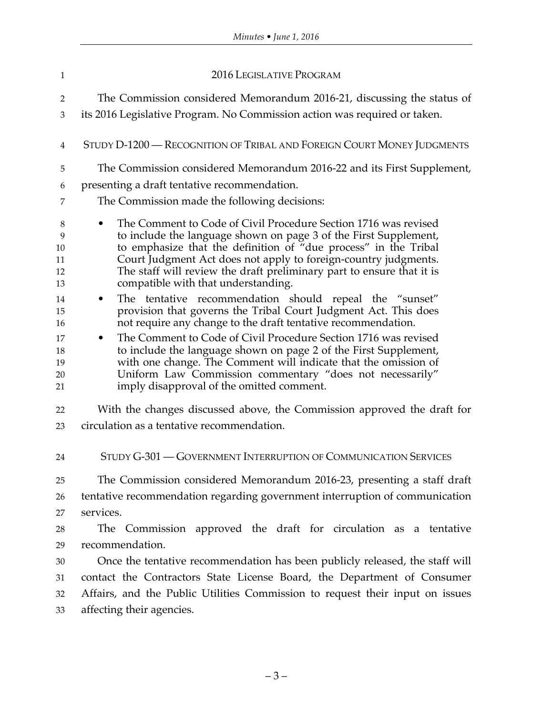| 1                                                                              | <b>2016 LEGISLATIVE PROGRAM</b>                                                                                                                                                                                                                                                                                                                                                                                                                                                                                                                                                                                                                                                                                                                                                                                                                                                                                          |  |
|--------------------------------------------------------------------------------|--------------------------------------------------------------------------------------------------------------------------------------------------------------------------------------------------------------------------------------------------------------------------------------------------------------------------------------------------------------------------------------------------------------------------------------------------------------------------------------------------------------------------------------------------------------------------------------------------------------------------------------------------------------------------------------------------------------------------------------------------------------------------------------------------------------------------------------------------------------------------------------------------------------------------|--|
| $\overline{2}$                                                                 | The Commission considered Memorandum 2016-21, discussing the status of                                                                                                                                                                                                                                                                                                                                                                                                                                                                                                                                                                                                                                                                                                                                                                                                                                                   |  |
| $\mathfrak{Z}$                                                                 | its 2016 Legislative Program. No Commission action was required or taken.                                                                                                                                                                                                                                                                                                                                                                                                                                                                                                                                                                                                                                                                                                                                                                                                                                                |  |
| $\overline{4}$                                                                 | STUDY D-1200 — RECOGNITION OF TRIBAL AND FOREIGN COURT MONEY JUDGMENTS                                                                                                                                                                                                                                                                                                                                                                                                                                                                                                                                                                                                                                                                                                                                                                                                                                                   |  |
| 5                                                                              | The Commission considered Memorandum 2016-22 and its First Supplement,                                                                                                                                                                                                                                                                                                                                                                                                                                                                                                                                                                                                                                                                                                                                                                                                                                                   |  |
| 6                                                                              | presenting a draft tentative recommendation.                                                                                                                                                                                                                                                                                                                                                                                                                                                                                                                                                                                                                                                                                                                                                                                                                                                                             |  |
| 7                                                                              | The Commission made the following decisions:                                                                                                                                                                                                                                                                                                                                                                                                                                                                                                                                                                                                                                                                                                                                                                                                                                                                             |  |
| 8<br>9<br>10<br>11<br>12<br>13<br>14<br>15<br>16<br>17<br>18<br>19<br>20<br>21 | The Comment to Code of Civil Procedure Section 1716 was revised<br>to include the language shown on page 3 of the First Supplement,<br>to emphasize that the definition of "due process" in the Tribal<br>Court Judgment Act does not apply to foreign-country judgments.<br>The staff will review the draft preliminary part to ensure that it is<br>compatible with that understanding.<br>The tentative recommendation should repeal the "sunset"<br>provision that governs the Tribal Court Judgment Act. This does<br>not require any change to the draft tentative recommendation.<br>The Comment to Code of Civil Procedure Section 1716 was revised<br>$\bullet$<br>to include the language shown on page 2 of the First Supplement,<br>with one change. The Comment will indicate that the omission of<br>Uniform Law Commission commentary "does not necessarily"<br>imply disapproval of the omitted comment. |  |
| 22                                                                             | With the changes discussed above, the Commission approved the draft for                                                                                                                                                                                                                                                                                                                                                                                                                                                                                                                                                                                                                                                                                                                                                                                                                                                  |  |
| 23                                                                             | circulation as a tentative recommendation.                                                                                                                                                                                                                                                                                                                                                                                                                                                                                                                                                                                                                                                                                                                                                                                                                                                                               |  |
| 24                                                                             | STUDY G-301 — GOVERNMENT INTERRUPTION OF COMMUNICATION SERVICES                                                                                                                                                                                                                                                                                                                                                                                                                                                                                                                                                                                                                                                                                                                                                                                                                                                          |  |
| 25                                                                             | The Commission considered Memorandum 2016-23, presenting a staff draft                                                                                                                                                                                                                                                                                                                                                                                                                                                                                                                                                                                                                                                                                                                                                                                                                                                   |  |
| 26                                                                             | tentative recommendation regarding government interruption of communication                                                                                                                                                                                                                                                                                                                                                                                                                                                                                                                                                                                                                                                                                                                                                                                                                                              |  |
| 27                                                                             | services.                                                                                                                                                                                                                                                                                                                                                                                                                                                                                                                                                                                                                                                                                                                                                                                                                                                                                                                |  |
| 28                                                                             | The Commission approved the draft for circulation as a tentative                                                                                                                                                                                                                                                                                                                                                                                                                                                                                                                                                                                                                                                                                                                                                                                                                                                         |  |
| 29                                                                             | recommendation.                                                                                                                                                                                                                                                                                                                                                                                                                                                                                                                                                                                                                                                                                                                                                                                                                                                                                                          |  |
| 30                                                                             | Once the tentative recommendation has been publicly released, the staff will                                                                                                                                                                                                                                                                                                                                                                                                                                                                                                                                                                                                                                                                                                                                                                                                                                             |  |
| 31                                                                             | contact the Contractors State License Board, the Department of Consumer                                                                                                                                                                                                                                                                                                                                                                                                                                                                                                                                                                                                                                                                                                                                                                                                                                                  |  |
| 32                                                                             | Affairs, and the Public Utilities Commission to request their input on issues                                                                                                                                                                                                                                                                                                                                                                                                                                                                                                                                                                                                                                                                                                                                                                                                                                            |  |
| 33                                                                             | affecting their agencies.                                                                                                                                                                                                                                                                                                                                                                                                                                                                                                                                                                                                                                                                                                                                                                                                                                                                                                |  |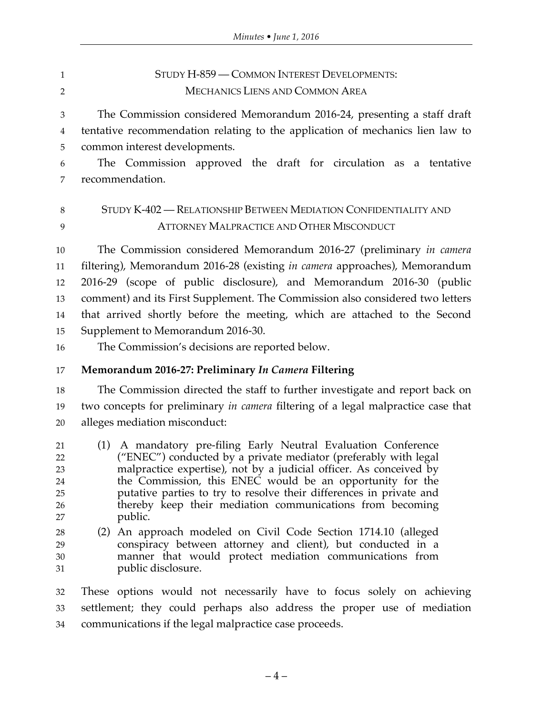| $\mathbf{1}$                           | STUDY H-859 - COMMON INTEREST DEVELOPMENTS:                                                                                                                                                                                                                                                                                                                                                                         |  |
|----------------------------------------|---------------------------------------------------------------------------------------------------------------------------------------------------------------------------------------------------------------------------------------------------------------------------------------------------------------------------------------------------------------------------------------------------------------------|--|
| $\overline{2}$                         | <b>MECHANICS LIENS AND COMMON AREA</b>                                                                                                                                                                                                                                                                                                                                                                              |  |
| 3<br>4                                 | The Commission considered Memorandum 2016-24, presenting a staff draft<br>tentative recommendation relating to the application of mechanics lien law to                                                                                                                                                                                                                                                             |  |
| 5                                      | common interest developments.                                                                                                                                                                                                                                                                                                                                                                                       |  |
| 6                                      | The Commission approved the draft for circulation as a tentative                                                                                                                                                                                                                                                                                                                                                    |  |
| 7                                      | recommendation.                                                                                                                                                                                                                                                                                                                                                                                                     |  |
| 8                                      | STUDY K-402 — RELATIONSHIP BETWEEN MEDIATION CONFIDENTIALITY AND                                                                                                                                                                                                                                                                                                                                                    |  |
| 9                                      | <b>ATTORNEY MALPRACTICE AND OTHER MISCONDUCT</b>                                                                                                                                                                                                                                                                                                                                                                    |  |
| 10                                     | The Commission considered Memorandum 2016-27 (preliminary <i>in camera</i>                                                                                                                                                                                                                                                                                                                                          |  |
| 11                                     | filtering), Memorandum 2016-28 (existing in camera approaches), Memorandum                                                                                                                                                                                                                                                                                                                                          |  |
| 12                                     | 2016-29 (scope of public disclosure), and Memorandum 2016-30 (public                                                                                                                                                                                                                                                                                                                                                |  |
| 13                                     | comment) and its First Supplement. The Commission also considered two letters                                                                                                                                                                                                                                                                                                                                       |  |
| 14                                     | that arrived shortly before the meeting, which are attached to the Second                                                                                                                                                                                                                                                                                                                                           |  |
| 15                                     | Supplement to Memorandum 2016-30.                                                                                                                                                                                                                                                                                                                                                                                   |  |
| 16                                     | The Commission's decisions are reported below.                                                                                                                                                                                                                                                                                                                                                                      |  |
| 17                                     | Memorandum 2016-27: Preliminary In Camera Filtering                                                                                                                                                                                                                                                                                                                                                                 |  |
| 18                                     | The Commission directed the staff to further investigate and report back on                                                                                                                                                                                                                                                                                                                                         |  |
| 19                                     | two concepts for preliminary in camera filtering of a legal malpractice case that                                                                                                                                                                                                                                                                                                                                   |  |
| 20                                     | alleges mediation misconduct:                                                                                                                                                                                                                                                                                                                                                                                       |  |
| 21<br>22<br>23<br>24<br>25<br>26<br>27 | (1) A mandatory pre-filing Early Neutral Evaluation Conference<br>("ENEC") conducted by a private mediator (preferably with legal<br>malpractice expertise), not by a judicial officer. As conceived by<br>the Commission, this ENEC would be an opportunity for the<br>putative parties to try to resolve their differences in private and<br>thereby keep their mediation communications from becoming<br>public. |  |
| 28<br>29<br>30<br>31                   | (2) An approach modeled on Civil Code Section 1714.10 (alleged<br>conspiracy between attorney and client), but conducted in a<br>manner that would protect mediation communications from<br>public disclosure.                                                                                                                                                                                                      |  |
| 32                                     | These options would not necessarily have to focus solely on achieving                                                                                                                                                                                                                                                                                                                                               |  |
| 33<br>$\bigcap$                        | settlement; they could perhaps also address the proper use of mediation<br>oppumunicationa if the legal malayestics assempessed                                                                                                                                                                                                                                                                                     |  |

communications if the legal malpractice case proceeds.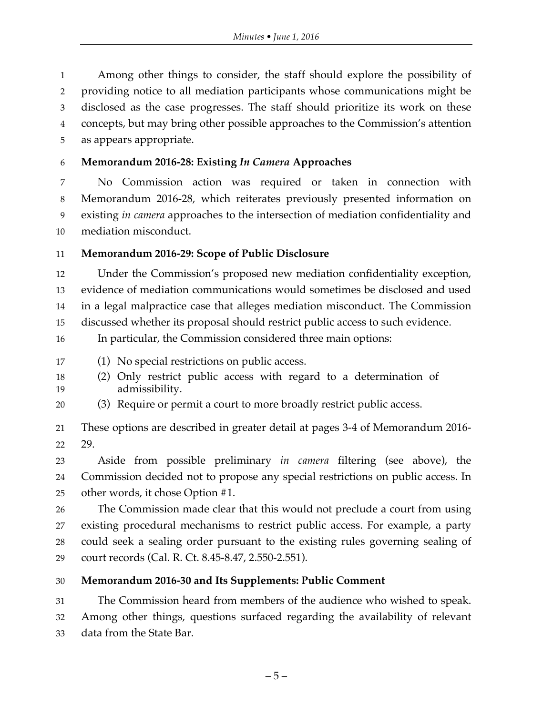Among other things to consider, the staff should explore the possibility of providing notice to all mediation participants whose communications might be disclosed as the case progresses. The staff should prioritize its work on these concepts, but may bring other possible approaches to the Commission's attention as appears appropriate.

**Memorandum 2016-28: Existing** *In Camera* **Approaches**

 No Commission action was required or taken in connection with Memorandum 2016-28, which reiterates previously presented information on existing *in camera* approaches to the intersection of mediation confidentiality and mediation misconduct.

# **Memorandum 2016-29: Scope of Public Disclosure**

 Under the Commission's proposed new mediation confidentiality exception, evidence of mediation communications would sometimes be disclosed and used in a legal malpractice case that alleges mediation misconduct. The Commission discussed whether its proposal should restrict public access to such evidence.

In particular, the Commission considered three main options:

- (1) No special restrictions on public access.
- (2) Only restrict public access with regard to a determination of admissibility.
- (3) Require or permit a court to more broadly restrict public access.

 These options are described in greater detail at pages 3-4 of Memorandum 2016- 29.

 Aside from possible preliminary *in camera* filtering (see above), the Commission decided not to propose any special restrictions on public access. In other words, it chose Option #1.

 The Commission made clear that this would not preclude a court from using existing procedural mechanisms to restrict public access. For example, a party could seek a sealing order pursuant to the existing rules governing sealing of court records (Cal. R. Ct. 8.45-8.47, 2.550-2.551).

**Memorandum 2016-30 and Its Supplements: Public Comment**

 The Commission heard from members of the audience who wished to speak. Among other things, questions surfaced regarding the availability of relevant data from the State Bar.